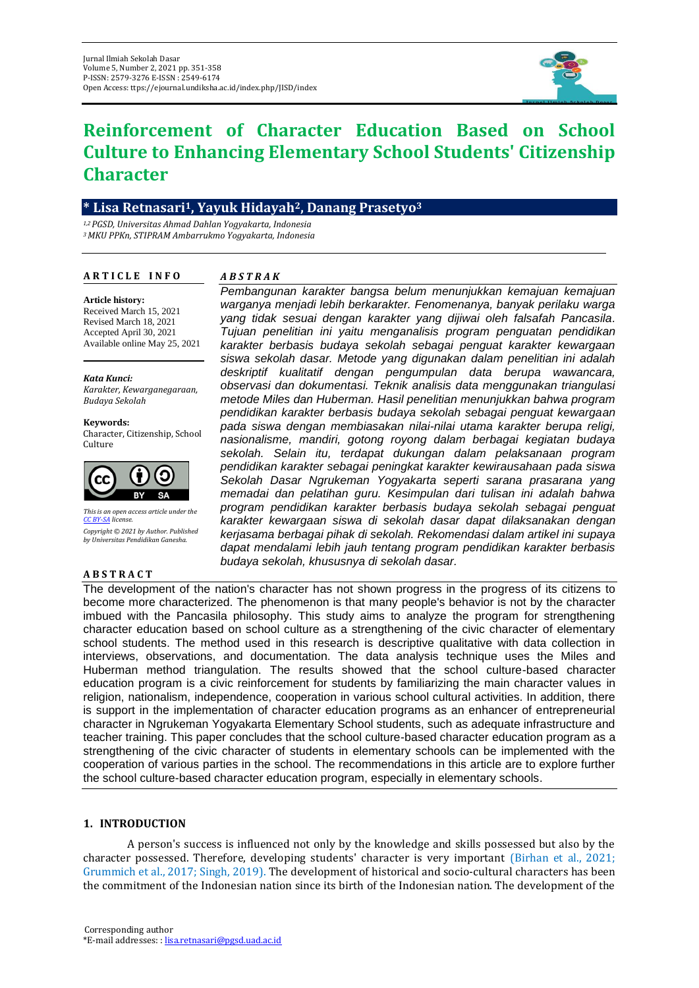

# **Reinforcement of Character Education Based on School Culture to Enhancing Elementary School Students' Citizenship Character**

# **\* Lisa Retnasari1, Yayuk Hidayah2, Danang Prasetyo<sup>3</sup>**

*1,2 PGSD, Universitas Ahmad Dahlan Yogyakarta, Indonesia <sup>3</sup>MKU PPKn, STIPRAM Ambarrukmo Yogyakarta, Indonesia*

# **A R T I C L E I N F O**

# *A B S T R A K*

#### **Article history:**

Received March 15, 2021 Revised March 18, 2021 Accepted April 30, 2021 Available online May 25, 2021

*Kata Kunci: Karakter, Kewarganegaraan, Budaya Sekolah*

**Keywords:** Character, Citizenship, School Culture



*This is an open access article under the [CC BY-SA](https://creativecommons.org/licenses/by-sa/4.0/) license. Copyright © 2021 by Author. Published by Universitas Pendidikan Ganesha.*

## **A B S T R A C T**

*warganya menjadi lebih berkarakter. Fenomenanya, banyak perilaku warga yang tidak sesuai dengan karakter yang dijiwai oleh falsafah Pancasila. Tujuan penelitian ini yaitu menganalisis program penguatan pendidikan karakter berbasis budaya sekolah sebagai penguat karakter kewargaan siswa sekolah dasar. Metode yang digunakan dalam penelitian ini adalah deskriptif kualitatif dengan pengumpulan data berupa wawancara, observasi dan dokumentasi. Teknik analisis data menggunakan triangulasi metode Miles dan Huberman. Hasil penelitian menunjukkan bahwa program pendidikan karakter berbasis budaya sekolah sebagai penguat kewargaan pada siswa dengan membiasakan nilai-nilai utama karakter berupa religi, nasionalisme, mandiri, gotong royong dalam berbagai kegiatan budaya sekolah. Selain itu, terdapat dukungan dalam pelaksanaan program pendidikan karakter sebagai peningkat karakter kewirausahaan pada siswa Sekolah Dasar Ngrukeman Yogyakarta seperti sarana prasarana yang memadai dan pelatihan guru. Kesimpulan dari tulisan ini adalah bahwa program pendidikan karakter berbasis budaya sekolah sebagai penguat karakter kewargaan siswa di sekolah dasar dapat dilaksanakan dengan kerjasama berbagai pihak di sekolah. Rekomendasi dalam artikel ini supaya dapat mendalami lebih jauh tentang program pendidikan karakter berbasis budaya sekolah, khususnya di sekolah dasar.*

*Pembangunan karakter bangsa belum menunjukkan kemajuan kemajuan* 

The development of the nation's character has not shown progress in the progress of its citizens to become more characterized. The phenomenon is that many people's behavior is not by the character imbued with the Pancasila philosophy. This study aims to analyze the program for strengthening character education based on school culture as a strengthening of the civic character of elementary school students. The method used in this research is descriptive qualitative with data collection in interviews, observations, and documentation. The data analysis technique uses the Miles and Huberman method triangulation. The results showed that the school culture-based character education program is a civic reinforcement for students by familiarizing the main character values in religion, nationalism, independence, cooperation in various school cultural activities. In addition, there is support in the implementation of character education programs as an enhancer of entrepreneurial character in Ngrukeman Yogyakarta Elementary School students, such as adequate infrastructure and teacher training. This paper concludes that the school culture-based character education program as a strengthening of the civic character of students in elementary schools can be implemented with the cooperation of various parties in the school. The recommendations in this article are to explore further the school culture-based character education program, especially in elementary schools.

# **1. INTRODUCTION**

A person's success is influenced not only by the knowledge and skills possessed but also by the character possessed. Therefore, developing students' character is very important (Birhan et al., 2021; Grummich et al., 2017; Singh, 2019). The development of historical and socio-cultural characters has been the commitment of the Indonesian nation since its birth of the Indonesian nation. The development of the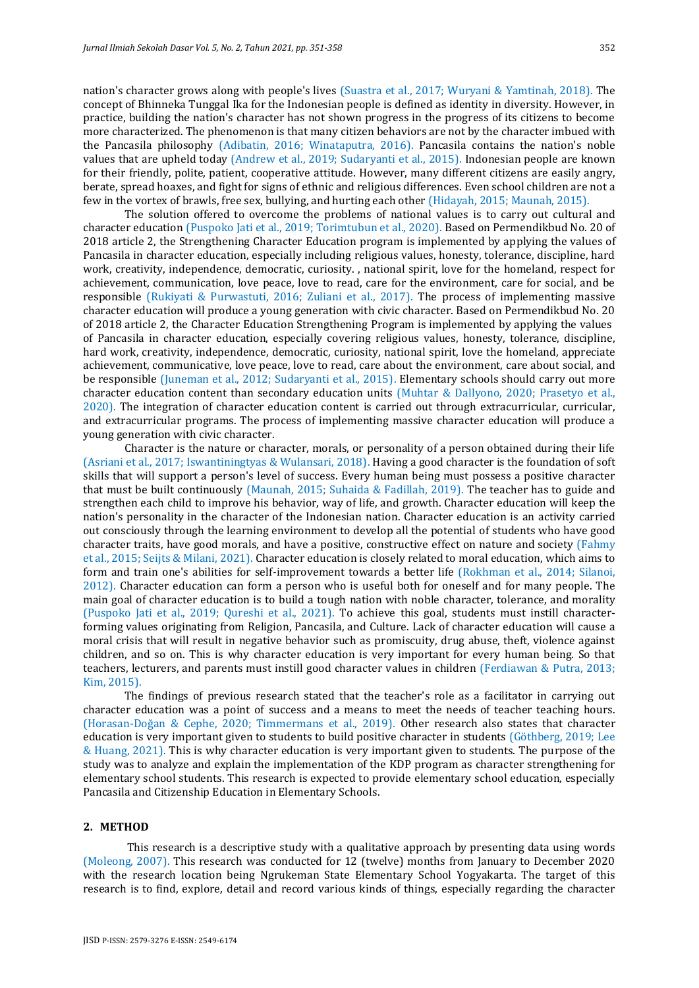nation's character grows along with people's lives (Suastra et al., 2017; Wuryani & Yamtinah, 2018). The concept of Bhinneka Tunggal Ika for the Indonesian people is defined as identity in diversity. However, in practice, building the nation's character has not shown progress in the progress of its citizens to become more characterized. The phenomenon is that many citizen behaviors are not by the character imbued with the Pancasila philosophy (Adibatin, 2016; Winataputra, 2016). Pancasila contains the nation's noble values that are upheld today (Andrew et al., 2019; Sudaryanti et al., 2015). Indonesian people are known for their friendly, polite, patient, cooperative attitude. However, many different citizens are easily angry, berate, spread hoaxes, and fight for signs of ethnic and religious differences. Even school children are not a few in the vortex of brawls, free sex, bullying, and hurting each other (Hidayah, 2015; Maunah, 2015).

The solution offered to overcome the problems of national values is to carry out cultural and character education (Puspoko Jati et al., 2019; Torimtubun et al., 2020). Based on Permendikbud No. 20 of 2018 article 2, the Strengthening Character Education program is implemented by applying the values of Pancasila in character education, especially including religious values, honesty, tolerance, discipline, hard work, creativity, independence, democratic, curiosity. , national spirit, love for the homeland, respect for achievement, communication, love peace, love to read, care for the environment, care for social, and be responsible (Rukiyati & Purwastuti, 2016; Zuliani et al., 2017). The process of implementing massive character education will produce a young generation with civic character. Based on Permendikbud No. 20 of 2018 article 2, the Character Education Strengthening Program is implemented by applying the values of Pancasila in character education, especially covering religious values, honesty, tolerance, discipline, hard work, creativity, independence, democratic, curiosity, national spirit, love the homeland, appreciate achievement, communicative, love peace, love to read, care about the environment, care about social, and be responsible (Juneman et al., 2012; Sudaryanti et al., 2015). Elementary schools should carry out more character education content than secondary education units (Muhtar & Dallyono, 2020; Prasetyo et al., 2020). The integration of character education content is carried out through extracurricular, curricular, and extracurricular programs. The process of implementing massive character education will produce a young generation with civic character.

Character is the nature or character, morals, or personality of a person obtained during their life (Asriani et al., 2017; Iswantiningtyas & Wulansari, 2018). Having a good character is the foundation of soft skills that will support a person's level of success. Every human being must possess a positive character that must be built continuously (Maunah, 2015; Suhaida & Fadillah, 2019). The teacher has to guide and strengthen each child to improve his behavior, way of life, and growth. Character education will keep the nation's personality in the character of the Indonesian nation. Character education is an activity carried out consciously through the learning environment to develop all the potential of students who have good character traits, have good morals, and have a positive, constructive effect on nature and society (Fahmy et al., 2015; Seijts & Milani, 2021). Character education is closely related to moral education, which aims to form and train one's abilities for self-improvement towards a better life (Rokhman et al., 2014; Silanoi, 2012). Character education can form a person who is useful both for oneself and for many people. The main goal of character education is to build a tough nation with noble character, tolerance, and morality (Puspoko Jati et al., 2019; Qureshi et al., 2021). To achieve this goal, students must instill characterforming values originating from Religion, Pancasila, and Culture. Lack of character education will cause a moral crisis that will result in negative behavior such as promiscuity, drug abuse, theft, violence against children, and so on. This is why character education is very important for every human being. So that teachers, lecturers, and parents must instill good character values in children (Ferdiawan & Putra, 2013; Kim, 2015).

The findings of previous research stated that the teacher's role as a facilitator in carrying out character education was a point of success and a means to meet the needs of teacher teaching hours. (Horasan-Doğan & Cephe, 2020; Timmermans et al., 2019). Other research also states that character education is very important given to students to build positive character in students (Göthberg, 2019; Lee & Huang, 2021). This is why character education is very important given to students. The purpose of the study was to analyze and explain the implementation of the KDP program as character strengthening for elementary school students. This research is expected to provide elementary school education, especially Pancasila and Citizenship Education in Elementary Schools.

# **2. METHOD**

This research is a descriptive study with a qualitative approach by presenting data using words (Moleong, 2007). This research was conducted for 12 (twelve) months from January to December 2020 with the research location being Ngrukeman State Elementary School Yogyakarta. The target of this research is to find, explore, detail and record various kinds of things, especially regarding the character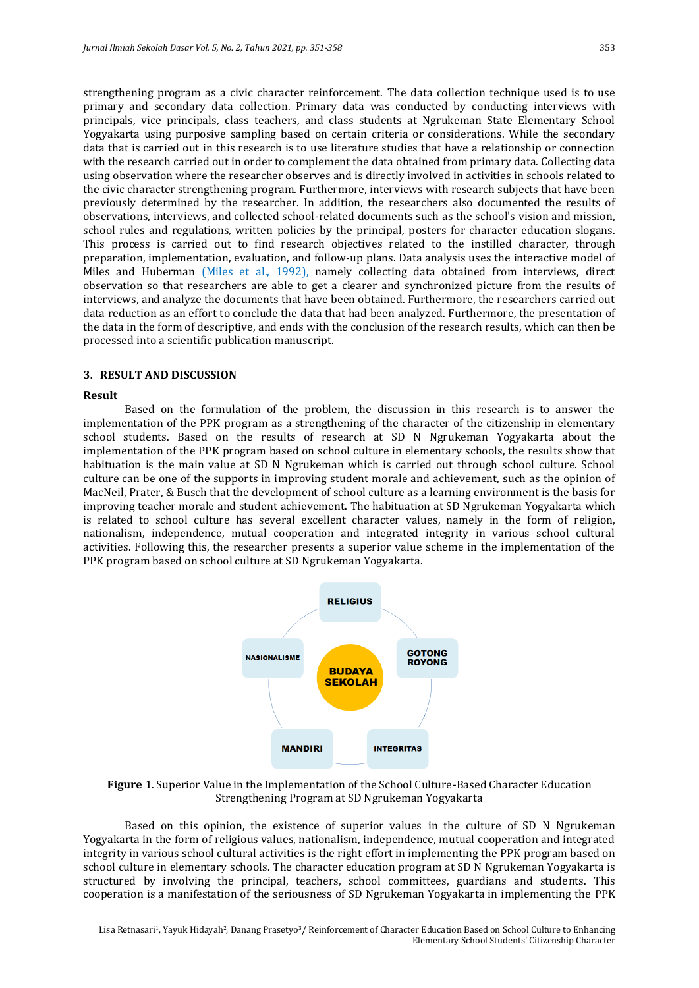strengthening program as a civic character reinforcement. The data collection technique used is to use primary and secondary data collection. Primary data was conducted by conducting interviews with principals, vice principals, class teachers, and class students at Ngrukeman State Elementary School Yogyakarta using purposive sampling based on certain criteria or considerations. While the secondary data that is carried out in this research is to use literature studies that have a relationship or connection with the research carried out in order to complement the data obtained from primary data. Collecting data using observation where the researcher observes and is directly involved in activities in schools related to the civic character strengthening program. Furthermore, interviews with research subjects that have been previously determined by the researcher. In addition, the researchers also documented the results of observations, interviews, and collected school-related documents such as the school's vision and mission, school rules and regulations, written policies by the principal, posters for character education slogans. This process is carried out to find research objectives related to the instilled character, through preparation, implementation, evaluation, and follow-up plans. Data analysis uses the interactive model of Miles and Huberman (Miles et al., 1992), namely collecting data obtained from interviews, direct observation so that researchers are able to get a clearer and synchronized picture from the results of interviews, and analyze the documents that have been obtained. Furthermore, the researchers carried out data reduction as an effort to conclude the data that had been analyzed. Furthermore, the presentation of the data in the form of descriptive, and ends with the conclusion of the research results, which can then be processed into a scientific publication manuscript.

#### **3. RESULT AND DISCUSSION**

#### **Result**

Based on the formulation of the problem, the discussion in this research is to answer the implementation of the PPK program as a strengthening of the character of the citizenship in elementary school students. Based on the results of research at SD N Ngrukeman Yogyakarta about the implementation of the PPK program based on school culture in elementary schools, the results show that habituation is the main value at SD N Ngrukeman which is carried out through school culture. School culture can be one of the supports in improving student morale and achievement, such as the opinion of MacNeil, Prater, & Busch that the development of school culture as a learning environment is the basis for improving teacher morale and student achievement. The habituation at SD Ngrukeman Yogyakarta which is related to school culture has several excellent character values, namely in the form of religion, nationalism, independence, mutual cooperation and integrated integrity in various school cultural activities. Following this, the researcher presents a superior value scheme in the implementation of the PPK program based on school culture at SD Ngrukeman Yogyakarta.



**Figure 1**. Superior Value in the Implementation of the School Culture-Based Character Education Strengthening Program at SD Ngrukeman Yogyakarta

Based on this opinion, the existence of superior values in the culture of SD N Ngrukeman Yogyakarta in the form of religious values, nationalism, independence, mutual cooperation and integrated integrity in various school cultural activities is the right effort in implementing the PPK program based on school culture in elementary schools. The character education program at SD N Ngrukeman Yogyakarta is structured by involving the principal, teachers, school committees, guardians and students. This cooperation is a manifestation of the seriousness of SD Ngrukeman Yogyakarta in implementing the PPK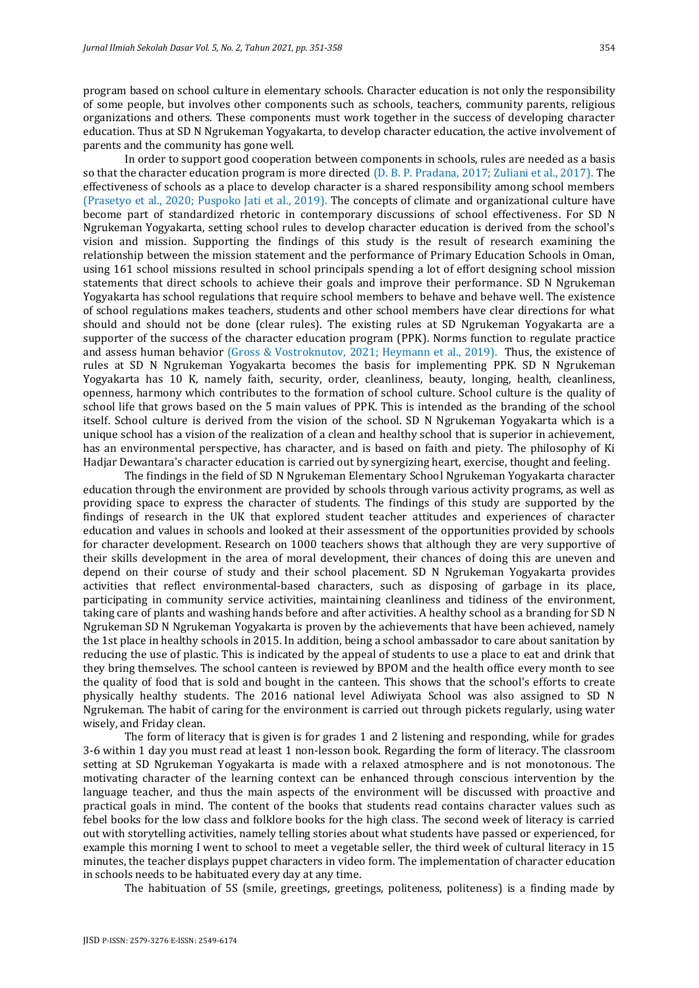program based on school culture in elementary schools. Character education is not only the responsibility of some people, but involves other components such as schools, teachers, community parents, religious organizations and others. These components must work together in the success of developing character education. Thus at SD N Ngrukeman Yogyakarta, to develop character education, the active involvement of parents and the community has gone well.

In order to support good cooperation between components in schools, rules are needed as a basis so that the character education program is more directed (D. B. P. Pradana, 2017; Zuliani et al., 2017). The effectiveness of schools as a place to develop character is a shared responsibility among school members (Prasetyo et al., 2020; Puspoko Jati et al., 2019). The concepts of climate and organizational culture have become part of standardized rhetoric in contemporary discussions of school effectiveness. For SD N Ngrukeman Yogyakarta, setting school rules to develop character education is derived from the school's vision and mission. Supporting the findings of this study is the result of research examining the relationship between the mission statement and the performance of Primary Education Schools in Oman, using 161 school missions resulted in school principals spending a lot of effort designing school mission statements that direct schools to achieve their goals and improve their performance. SD N Ngrukeman Yogyakarta has school regulations that require school members to behave and behave well. The existence of school regulations makes teachers, students and other school members have clear directions for what should and should not be done (clear rules). The existing rules at SD Ngrukeman Yogyakarta are a supporter of the success of the character education program (PPK). Norms function to regulate practice and assess human behavior (Gross & Vostroknutov, 2021; Heymann et al., 2019). Thus, the existence of rules at SD N Ngrukeman Yogyakarta becomes the basis for implementing PPK. SD N Ngrukeman Yogyakarta has 10 K, namely faith, security, order, cleanliness, beauty, longing, health, cleanliness, openness, harmony which contributes to the formation of school culture. School culture is the quality of school life that grows based on the 5 main values of PPK. This is intended as the branding of the school itself. School culture is derived from the vision of the school. SD N Ngrukeman Yogyakarta which is a unique school has a vision of the realization of a clean and healthy school that is superior in achievement, has an environmental perspective, has character, and is based on faith and piety. The philosophy of Ki Hadjar Dewantara's character education is carried out by synergizing heart, exercise, thought and feeling.

The findings in the field of SD N Ngrukeman Elementary School Ngrukeman Yogyakarta character education through the environment are provided by schools through various activity programs, as well as providing space to express the character of students. The findings of this study are supported by the findings of research in the UK that explored student teacher attitudes and experiences of character education and values in schools and looked at their assessment of the opportunities provided by schools for character development. Research on 1000 teachers shows that although they are very supportive of their skills development in the area of moral development, their chances of doing this are uneven and depend on their course of study and their school placement. SD N Ngrukeman Yogyakarta provides activities that reflect environmental-based characters, such as disposing of garbage in its place, participating in community service activities, maintaining cleanliness and tidiness of the environment, taking care of plants and washing hands before and after activities. A healthy school as a branding for SD N Ngrukeman SD N Ngrukeman Yogyakarta is proven by the achievements that have been achieved, namely the 1st place in healthy schools in 2015. In addition, being a school ambassador to care about sanitation by reducing the use of plastic. This is indicated by the appeal of students to use a place to eat and drink that they bring themselves. The school canteen is reviewed by BPOM and the health office every month to see the quality of food that is sold and bought in the canteen. This shows that the school's efforts to create physically healthy students. The 2016 national level Adiwiyata School was also assigned to SD N Ngrukeman. The habit of caring for the environment is carried out through pickets regularly, using water wisely, and Friday clean.

The form of literacy that is given is for grades 1 and 2 listening and responding, while for grades 3-6 within 1 day you must read at least 1 non-lesson book. Regarding the form of literacy. The classroom setting at SD Ngrukeman Yogyakarta is made with a relaxed atmosphere and is not monotonous. The motivating character of the learning context can be enhanced through conscious intervention by the language teacher, and thus the main aspects of the environment will be discussed with proactive and practical goals in mind. The content of the books that students read contains character values such as febel books for the low class and folklore books for the high class. The second week of literacy is carried out with storytelling activities, namely telling stories about what students have passed or experienced, for example this morning I went to school to meet a vegetable seller, the third week of cultural literacy in 15 minutes, the teacher displays puppet characters in video form. The implementation of character education in schools needs to be habituated every day at any time.

The habituation of 5S (smile, greetings, greetings, politeness, politeness) is a finding made by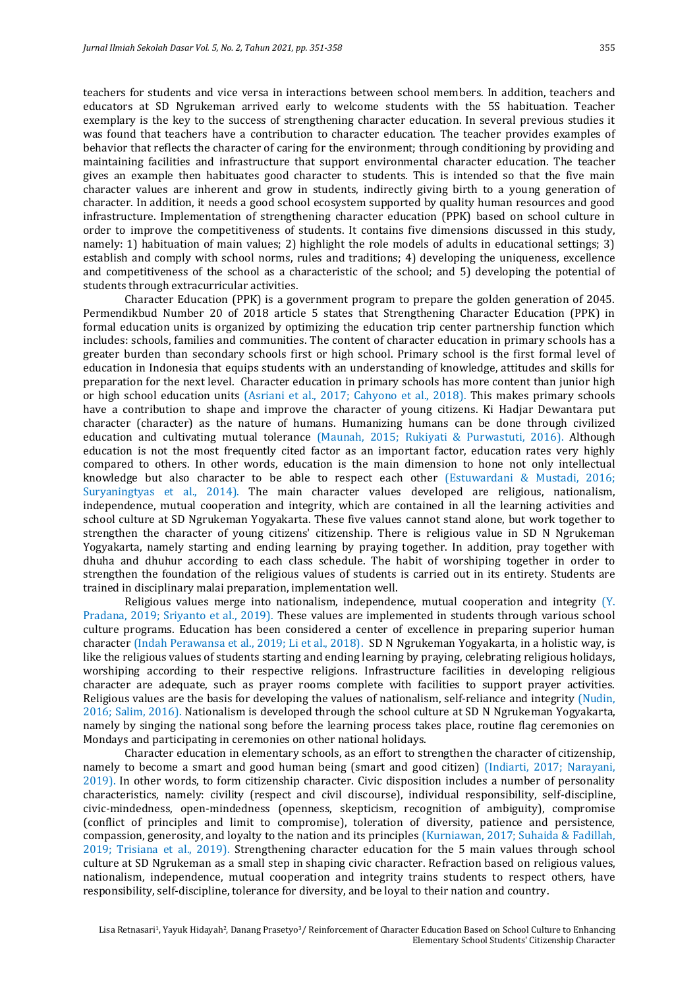teachers for students and vice versa in interactions between school members. In addition, teachers and educators at SD Ngrukeman arrived early to welcome students with the 5S habituation. Teacher exemplary is the key to the success of strengthening character education. In several previous studies it was found that teachers have a contribution to character education. The teacher provides examples of behavior that reflects the character of caring for the environment; through conditioning by providing and maintaining facilities and infrastructure that support environmental character education. The teacher gives an example then habituates good character to students. This is intended so that the five main character values are inherent and grow in students, indirectly giving birth to a young generation of character. In addition, it needs a good school ecosystem supported by quality human resources and good infrastructure. Implementation of strengthening character education (PPK) based on school culture in order to improve the competitiveness of students. It contains five dimensions discussed in this study, namely: 1) habituation of main values; 2) highlight the role models of adults in educational settings; 3) establish and comply with school norms, rules and traditions; 4) developing the uniqueness, excellence and competitiveness of the school as a characteristic of the school; and 5) developing the potential of students through extracurricular activities.

Character Education (PPK) is a government program to prepare the golden generation of 2045. Permendikbud Number 20 of 2018 article 5 states that Strengthening Character Education (PPK) in formal education units is organized by optimizing the education trip center partnership function which includes: schools, families and communities. The content of character education in primary schools has a greater burden than secondary schools first or high school. Primary school is the first formal level of education in Indonesia that equips students with an understanding of knowledge, attitudes and skills for preparation for the next level. Character education in primary schools has more content than junior high or high school education units (Asriani et al., 2017; Cahyono et al., 2018). This makes primary schools have a contribution to shape and improve the character of young citizens. Ki Hadjar Dewantara put character (character) as the nature of humans. Humanizing humans can be done through civilized education and cultivating mutual tolerance (Maunah, 2015; Rukiyati & Purwastuti, 2016). Although education is not the most frequently cited factor as an important factor, education rates very highly compared to others. In other words, education is the main dimension to hone not only intellectual knowledge but also character to be able to respect each other (Estuwardani & Mustadi, 2016; Suryaningtyas et al., 2014). The main character values developed are religious, nationalism, independence, mutual cooperation and integrity, which are contained in all the learning activities and school culture at SD Ngrukeman Yogyakarta. These five values cannot stand alone, but work together to strengthen the character of young citizens' citizenship. There is religious value in SD N Ngrukeman Yogyakarta, namely starting and ending learning by praying together. In addition, pray together with dhuha and dhuhur according to each class schedule. The habit of worshiping together in order to strengthen the foundation of the religious values of students is carried out in its entirety. Students are trained in disciplinary malai preparation, implementation well.

Religious values merge into nationalism, independence, mutual cooperation and integrity (Y. Pradana, 2019; Sriyanto et al., 2019). These values are implemented in students through various school culture programs. Education has been considered a center of excellence in preparing superior human character (Indah Perawansa et al., 2019; Li et al., 2018). SD N Ngrukeman Yogyakarta, in a holistic way, is like the religious values of students starting and ending learning by praying, celebrating religious holidays, worshiping according to their respective religions. Infrastructure facilities in developing religious character are adequate, such as prayer rooms complete with facilities to support prayer activities. Religious values are the basis for developing the values of nationalism, self-reliance and integrity (Nudin, 2016; Salim, 2016). Nationalism is developed through the school culture at SD N Ngrukeman Yogyakarta, namely by singing the national song before the learning process takes place, routine flag ceremonies on Mondays and participating in ceremonies on other national holidays.

Character education in elementary schools, as an effort to strengthen the character of citizenship, namely to become a smart and good human being (smart and good citizen) (Indiarti, 2017; Narayani, 2019). In other words, to form citizenship character. Civic disposition includes a number of personality characteristics, namely: civility (respect and civil discourse), individual responsibility, self-discipline, civic-mindedness, open-mindedness (openness, skepticism, recognition of ambiguity), compromise (conflict of principles and limit to compromise), toleration of diversity, patience and persistence, compassion, generosity, and loyalty to the nation and its principles (Kurniawan, 2017; Suhaida & Fadillah, 2019; Trisiana et al., 2019). Strengthening character education for the 5 main values through school culture at SD Ngrukeman as a small step in shaping civic character. Refraction based on religious values, nationalism, independence, mutual cooperation and integrity trains students to respect others, have responsibility, self-discipline, tolerance for diversity, and be loyal to their nation and country.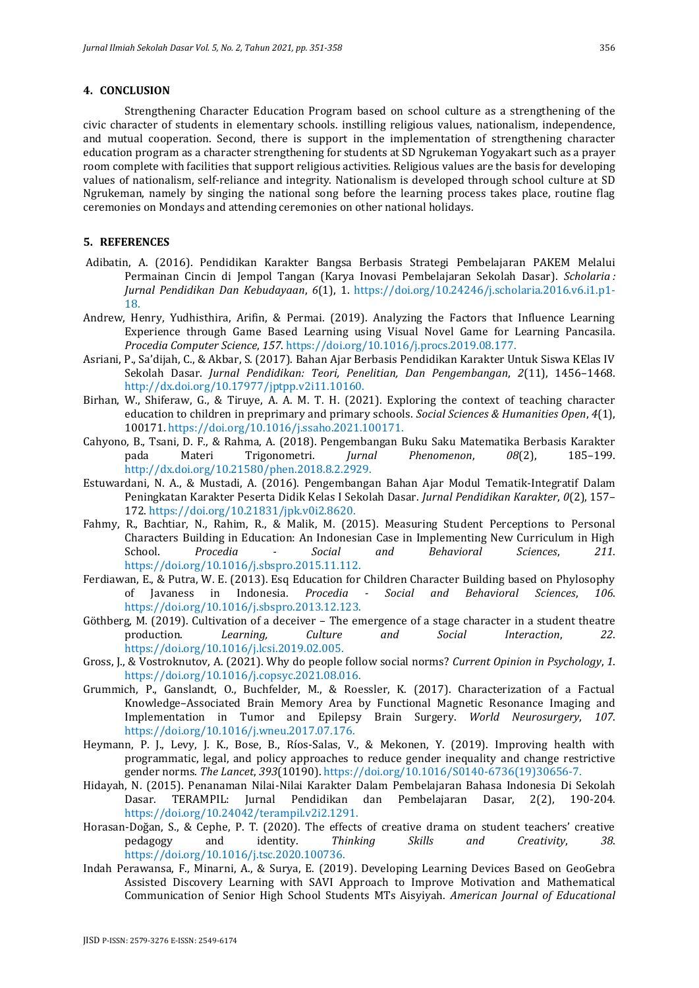### **4. CONCLUSION**

Strengthening Character Education Program based on school culture as a strengthening of the civic character of students in elementary schools. instilling religious values, nationalism, independence, and mutual cooperation. Second, there is support in the implementation of strengthening character education program as a character strengthening for students at SD Ngrukeman Yogyakart such as a prayer room complete with facilities that support religious activities. Religious values are the basis for developing values of nationalism, self-reliance and integrity. Nationalism is developed through school culture at SD Ngrukeman, namely by singing the national song before the learning process takes place, routine flag ceremonies on Mondays and attending ceremonies on other national holidays.

# **5. REFERENCES**

- Adibatin, A. (2016). Pendidikan Karakter Bangsa Berbasis Strategi Pembelajaran PAKEM Melalui Permainan Cincin di Jempol Tangan (Karya Inovasi Pembelajaran Sekolah Dasar). *Scholaria : Jurnal Pendidikan Dan Kebudayaan*, *6*(1), 1. https://doi.org/10.24246/j.scholaria.2016.v6.i1.p1- 18.
- Andrew, Henry, Yudhisthira, Arifin, & Permai. (2019). Analyzing the Factors that Influence Learning Experience through Game Based Learning using Visual Novel Game for Learning Pancasila. *Procedia Computer Science*, *157*. https://doi.org/10.1016/j.procs.2019.08.177.
- Asriani, P., Sa'dijah, C., & Akbar, S. (2017). Bahan Ajar Berbasis Pendidikan Karakter Untuk Siswa KElas IV Sekolah Dasar. *Jurnal Pendidikan: Teori, Penelitian, Dan Pengembangan*, *2*(11), 1456–1468. http://dx.doi.org/10.17977/jptpp.v2i11.10160.
- Birhan, W., Shiferaw, G., & Tiruye, A. A. M. T. H. (2021). Exploring the context of teaching character education to children in preprimary and primary schools. *Social Sciences & Humanities Open*, *4*(1), 100171. https://doi.org/10.1016/j.ssaho.2021.100171.
- Cahyono, B., Tsani, D. F., & Rahma, A. (2018). Pengembangan Buku Saku Matematika Berbasis Karakter<br>pada Materi Trigonometri. *Jurnal Phenomenon*, 08(2), 185-199. pada Materi Trigonometri. *Jurnal Phenomenon*, *08*(2), 185–199. http://dx.doi.org/10.21580/phen.2018.8.2.2929.
- Estuwardani, N. A., & Mustadi, A. (2016). Pengembangan Bahan Ajar Modul Tematik-Integratif Dalam Peningkatan Karakter Peserta Didik Kelas I Sekolah Dasar. *Jurnal Pendidikan Karakter*, *0*(2), 157– 172. https://doi.org/10.21831/jpk.v0i2.8620.
- Fahmy, R., Bachtiar, N., Rahim, R., & Malik, M. (2015). Measuring Student Perceptions to Personal Characters Building in Education: An Indonesian Case in Implementing New Curriculum in High School. *Procedia - Social and Behavioral Sciences*, *211*. https://doi.org/10.1016/j.sbspro.2015.11.112.
- Ferdiawan, E., & Putra, W. E. (2013). Esq Education for Children Character Building based on Phylosophy of Javaness in Indonesia. *Procedia - Social and Behavioral Sciences*, *106*. https://doi.org/10.1016/j.sbspro.2013.12.123.
- Göthberg, M. (2019). Cultivation of a deceiver The emergence of a stage character in a student theatre production. *Learning, Culture and Social Interaction*, *22*. https://doi.org/10.1016/j.lcsi.2019.02.005.
- Gross, J., & Vostroknutov, A. (2021). Why do people follow social norms? *Current Opinion in Psychology*, *1*. https://doi.org/10.1016/j.copsyc.2021.08.016.
- Grummich, P., Ganslandt, O., Buchfelder, M., & Roessler, K. (2017). Characterization of a Factual Knowledge–Associated Brain Memory Area by Functional Magnetic Resonance Imaging and Implementation in Tumor and Epilepsy Brain Surgery. *World Neurosurgery*, *107*. https://doi.org/10.1016/j.wneu.2017.07.176.
- Heymann, P. J., Levy, J. K., Bose, B., Ríos-Salas, V., & Mekonen, Y. (2019). Improving health with programmatic, legal, and policy approaches to reduce gender inequality and change restrictive gender norms. *The Lancet*, *393*(10190). https://doi.org/10.1016/S0140-6736(19)30656-7.
- Hidayah, N. (2015). Penanaman Nilai-Nilai Karakter Dalam Pembelajaran Bahasa Indonesia Di Sekolah Dasar. TERAMPIL: Jurnal Pendidikan dan Pembelajaran Dasar, 2(2), 190-204. https://doi.org/10.24042/terampil.v2i2.1291.
- Horasan-Doğan, S., & Cephe, P. T. (2020). The effects of creative drama on student teachers' creative pedagogy and identity. *Thinking Skills and Creativity*, *38*. https://doi.org/10.1016/j.tsc.2020.100736.
- Indah Perawansa, F., Minarni, A., & Surya, E. (2019). Developing Learning Devices Based on GeoGebra Assisted Discovery Learning with SAVI Approach to Improve Motivation and Mathematical Communication of Senior High School Students MTs Aisyiyah. *American Journal of Educational*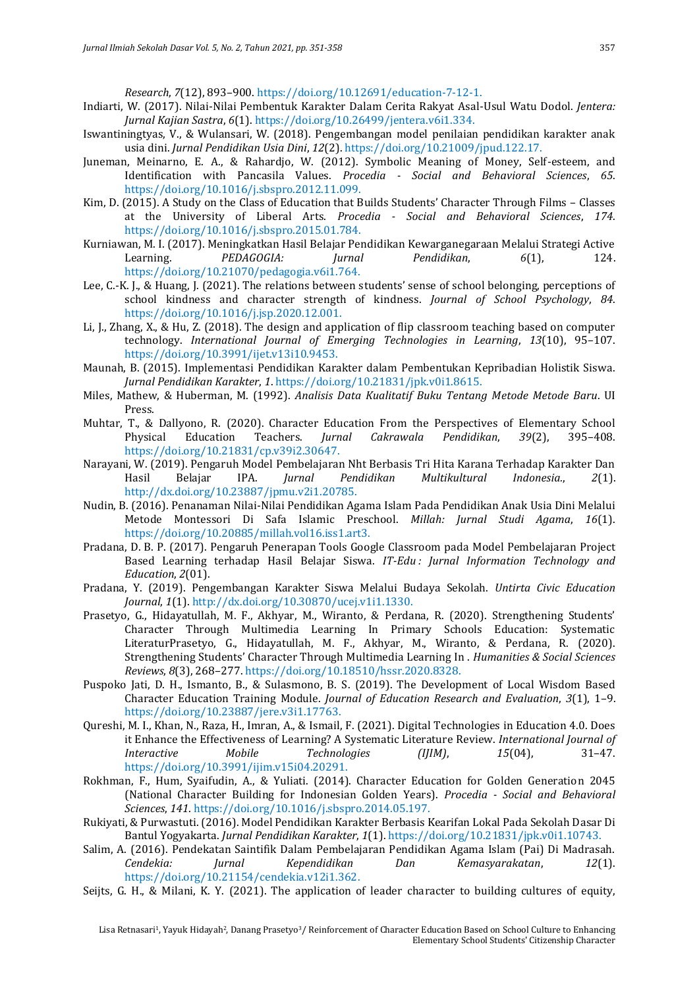*Research*, *7*(12), 893–900. https://doi.org/10.12691/education-7-12-1.

- Indiarti, W. (2017). Nilai-Nilai Pembentuk Karakter Dalam Cerita Rakyat Asal-Usul Watu Dodol. *Jentera: Jurnal Kajian Sastra*, *6*(1). https://doi.org/10.26499/jentera.v6i1.334.
- Iswantiningtyas, V., & Wulansari, W. (2018). Pengembangan model penilaian pendidikan karakter anak usia dini. *Jurnal Pendidikan Usia Dini*, *12*(2). https://doi.org/10.21009/jpud.122.17.
- Juneman, Meinarno, E. A., & Rahardjo, W. (2012). Symbolic Meaning of Money, Self-esteem, and Identification with Pancasila Values. *Procedia - Social and Behavioral Sciences*, *65*. https://doi.org/10.1016/j.sbspro.2012.11.099.
- Kim, D. (2015). A Study on the Class of Education that Builds Students' Character Through Films Classes at the University of Liberal Arts. *Procedia - Social and Behavioral Sciences*, *174*. https://doi.org/10.1016/j.sbspro.2015.01.784.
- Kurniawan, M. I. (2017). Meningkatkan Hasil Belajar Pendidikan Kewarganegaraan Melalui Strategi Active Learning. *PEDAGOGIA: Jurnal Pendidikan*, *6*(1), 124. https://doi.org/10.21070/pedagogia.v6i1.764.
- Lee, C.-K. J., & Huang, J. (2021). The relations between students' sense of school belonging, perceptions of school kindness and character strength of kindness. *Journal of School Psychology*, *84*. https://doi.org/10.1016/j.jsp.2020.12.001.
- Li, J., Zhang, X., & Hu, Z. (2018). The design and application of flip classroom teaching based on computer technology. *International Journal of Emerging Technologies in Learning*, *13*(10), 95–107. https://doi.org/10.3991/ijet.v13i10.9453.
- Maunah, B. (2015). Implementasi Pendidikan Karakter dalam Pembentukan Kepribadian Holistik Siswa. *Jurnal Pendidikan Karakter*, *1*. https://doi.org/10.21831/jpk.v0i1.8615.
- Miles, Mathew, & Huberman, M. (1992). *Analisis Data Kualitatif Buku Tentang Metode Metode Baru*. UI Press.
- Muhtar, T., & Dallyono, R. (2020). Character Education From the Perspectives of Elementary School Physical Education Teachers. *Jurnal Cakrawala Pendidikan*, *39*(2), 395–408. https://doi.org/10.21831/cp.v39i2.30647.
- Narayani, W. (2019). Pengaruh Model Pembelajaran Nht Berbasis Tri Hita Karana Terhadap Karakter Dan Hasil Belajar IPA. *Jurnal Pendidikan Multikultural Indonesia.*, *2*(1). http://dx.doi.org/10.23887/jpmu.v2i1.20785.
- Nudin, B. (2016). Penanaman Nilai-Nilai Pendidikan Agama Islam Pada Pendidikan Anak Usia Dini Melalui Metode Montessori Di Safa Islamic Preschool. *Millah: Jurnal Studi Agama*, *16*(1). https://doi.org/10.20885/millah.vol16.iss1.art3.
- Pradana, D. B. P. (2017). Pengaruh Penerapan Tools Google Classroom pada Model Pembelajaran Project Based Learning terhadap Hasil Belajar Siswa. *IT-Edu : Jurnal Information Technology and Education*, *2*(01).
- Pradana, Y. (2019). Pengembangan Karakter Siswa Melalui Budaya Sekolah. *Untirta Civic Education Journal*, *1*(1). http://dx.doi.org/10.30870/ucej.v1i1.1330.
- Prasetyo, G., Hidayatullah, M. F., Akhyar, M., Wiranto, & Perdana, R. (2020). Strengthening Students' Character Through Multimedia Learning In Primary Schools Education: Systematic LiteraturPrasetyo, G., Hidayatullah, M. F., Akhyar, M., Wiranto, & Perdana, R. (2020). Strengthening Students' Character Through Multimedia Learning In . *Humanities & Social Sciences Reviews*, *8*(3), 268–277. https://doi.org/10.18510/hssr.2020.8328.
- Puspoko Jati, D. H., Ismanto, B., & Sulasmono, B. S. (2019). The Development of Local Wisdom Based Character Education Training Module. *Journal of Education Research and Evaluation*, *3*(1), 1–9. https://doi.org/10.23887/jere.v3i1.17763.
- Qureshi, M. I., Khan, N., Raza, H., Imran, A., & Ismail, F. (2021). Digital Technologies in Education 4.0. Does it Enhance the Effectiveness of Learning? A Systematic Literature Review. *International Journal of Interactive Mobile Technologies (IJIM)*, *15*(04), 31–47. https://doi.org/10.3991/ijim.v15i04.20291.
- Rokhman, F., Hum, Syaifudin, A., & Yuliati. (2014). Character Education for Golden Generation 2045 (National Character Building for Indonesian Golden Years). *Procedia - Social and Behavioral Sciences*, *141*. https://doi.org/10.1016/j.sbspro.2014.05.197.
- Rukiyati, & Purwastuti. (2016). Model Pendidikan Karakter Berbasis Kearifan Lokal Pada Sekolah Dasar Di Bantul Yogyakarta. *Jurnal Pendidikan Karakter*, *1*(1). https://doi.org/10.21831/jpk.v0i1.10743.
- Salim, A. (2016). Pendekatan Saintifik Dalam Pembelajaran Pendidikan Agama Islam (Pai) Di Madrasah. *Cendekia: Jurnal Kependidikan Dan Kemasyarakatan*, *12*(1). https://doi.org/10.21154/cendekia.v12i1.362.
- Seijts, G. H., & Milani, K. Y. (2021). The application of leader character to building cultures of equity,